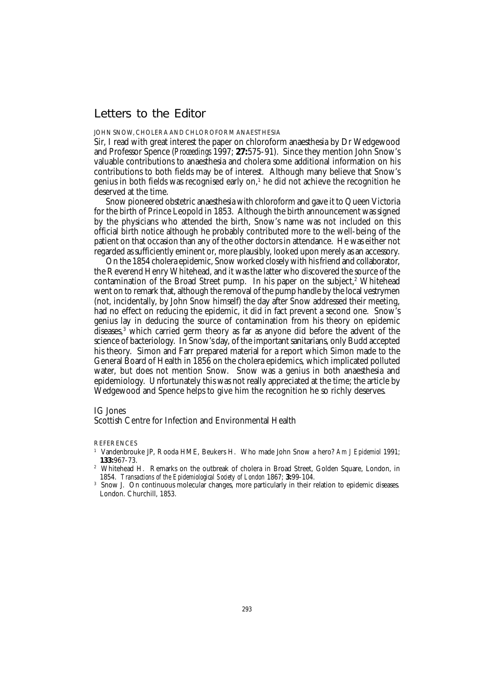# Letters to the Editor

### JOHN SNOW, CHOLERA AND CHLOROFORM ANAESTHESIA

Sir, I read with great interest the paper on chloroform anaesthesia by Dr Wedgewood and Professor Spence (*Proceedings* 1997; **27:**575-91). Since they mention John Snow's valuable contributions to anaesthesia and cholera some additional information on his contributions to both fields may be of interest. Although many believe that Snow's genius in both fields was recognised early on, $^{\rm 1}$  he did not achieve the recognition he deserved at the time.

Snow pioneered obstetric anaesthesia with chloroform and gave it to Queen Victoria for the birth of Prince Leopold in 1853. Although the birth announcement was signed by the physicians who attended the birth, Snow's name was not included on this official birth notice although he probably contributed more to the well-being of the patient on that occasion than any of the other doctors in attendance. He was either not regarded as sufficiently eminent or, more plausibly, looked upon merely as an accessory.

On the 1854 cholera epidemic, Snow worked closely with his friend and collaborator, the Reverend Henry Whitehead, and it was the latter who discovered the source of the contamination of the Broad Street pump. In his paper on the subject,<sup>2</sup> Whitehead went on to remark that, although the removal of the pump handle by the local vestrymen (not, incidentally, by John Snow himself) the day after Snow addressed their meeting, had no effect on reducing the epidemic, it did in fact prevent a second one. Snow's genius lay in deducing the source of contamination from his theory on epidemic diseases,<sup>3</sup> which carried germ theory as far as anyone did before the advent of the science of bacteriology. In Snow's day, of the important sanitarians, only Budd accepted his theory. Simon and Farr prepared material for a report which Simon made to the General Board of Health in 1856 on the cholera epidemics, which implicated polluted water, but does not mention Snow. Snow was a genius in both anaesthesia and epidemiology. Unfortunately this was not really appreciated at the time; the article by Wedgewood and Spence helps to give him the recognition he so richly deserves.

## IG Jones

# Scottish Centre for Infection and Environmental Health

**REFERENCES** 

<sup>1</sup> Vandenbrouke JP, Rooda HME, Beukers H. Who made John Snow a hero? *Am J Epidemiol* 1991; **133:**967-73.

<sup>&</sup>lt;sup>2</sup> Whitehead H. Remarks on the outbreak of cholera in Broad Street, Golden Square, London, in 1854. *Transactions of the Epidemiological Society of London* 1867; **3:**99-104.

<sup>3</sup> Snow J. On continuous molecular changes, more particularly in their relation to epidemic diseases*.* London. Churchill, 1853.